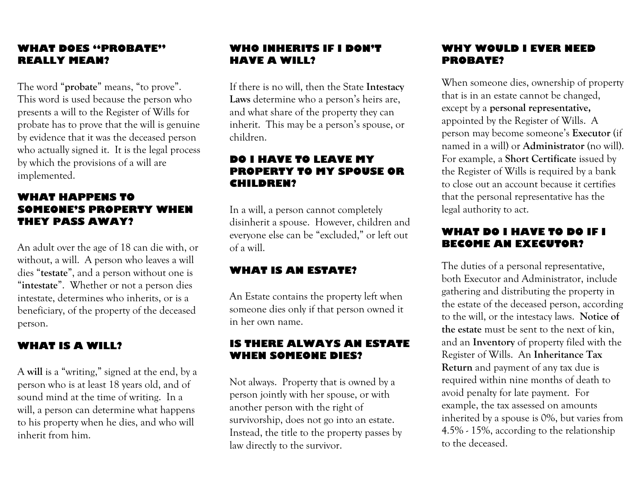#### **WHAT DOES "PROBATE" REALLY MEAN?**

The word "**probate**" means, "to prove". This word is used because the person who presents a will to the Register of Wills for probate has to prove that the will is genuine by evidence that it was the deceased person who actually signed it. It is the legal process by which the provisions of a will are implemented.

#### **WHAT HAPPENS TO SOMEONE'S PROPERTY WHEN THEY PASS AWAY?**

An adult over the age of 18 can die with, or without, a will. A person who leaves a will dies "**testate**", and a person without one is "**intestate**". Whether or not a person dies intestate, determines who inherits, or is a beneficiary, of the property of the deceased person.

#### **WHAT IS A WILL?**

A **will** is a "writing," signed at the end, by a person who is at least 18 years old, and of sound mind at the time of writing. In a will, a person can determine what happens to his property when he dies, and who will inherit from him.

#### **WHO INHERITS IF I DON'T HAVE A WILL?**

If there is no will, then the State **Intestacy Laws** determine who a person's heirs are, and what share of the property they can inherit. This may be a person's spouse, or children.

#### **DO I HAVE TO LEAVE MY PROPERTY TO MY SPOUSE OR CHILDREN?**

In a will, a person cannot completely disinherit a spouse. However, children and everyone else can be "excluded," or left out of a will.

#### **WHAT IS AN ESTATE?**

An Estate contains the property left when someone dies only if that person owned it in her own name.

#### **IS THERE ALWAYS AN ESTATE WHEN SOMEONE DIES?**

Not always. Property that is owned by a person jointly with her spouse, or with another person with the right of survivorship, does not go into an estate. Instead, the title to the property passes by law directly to the survivor.

#### **WHY WOULD I EVER NEED PROBATE?**

When someone dies, ownership of property that is in an estate cannot be changed, except by a **personal representative,** appointed by the Register of Wills. A person may become someone's **Executor** (if named in a will) or **Administrator** (no will). For example, a **Short Certificate** issued by the Register of Wills is required by a bank to close out an account because it certifies that the personal representative has the legal authority to act.

#### **WHAT DO I HAVE TO DO IF I BECOME AN EXECUTOR?**

The duties of a personal representative, both Executor and Administrator, include gathering and distributing the property in the estate of the deceased person, according to the will, or the intestacy laws. **Notice of the estate** must be sent to the next of kin, and an **Inventory** of property filed with the Register of Wills. An **Inheritance Tax Return** and payment of any tax due is required within nine months of death to avoid penalty for late payment. For example, the tax assessed on amounts inherited by a spouse is 0%, but varies from 4.5% - 15%, according to the relationship to the deceased.